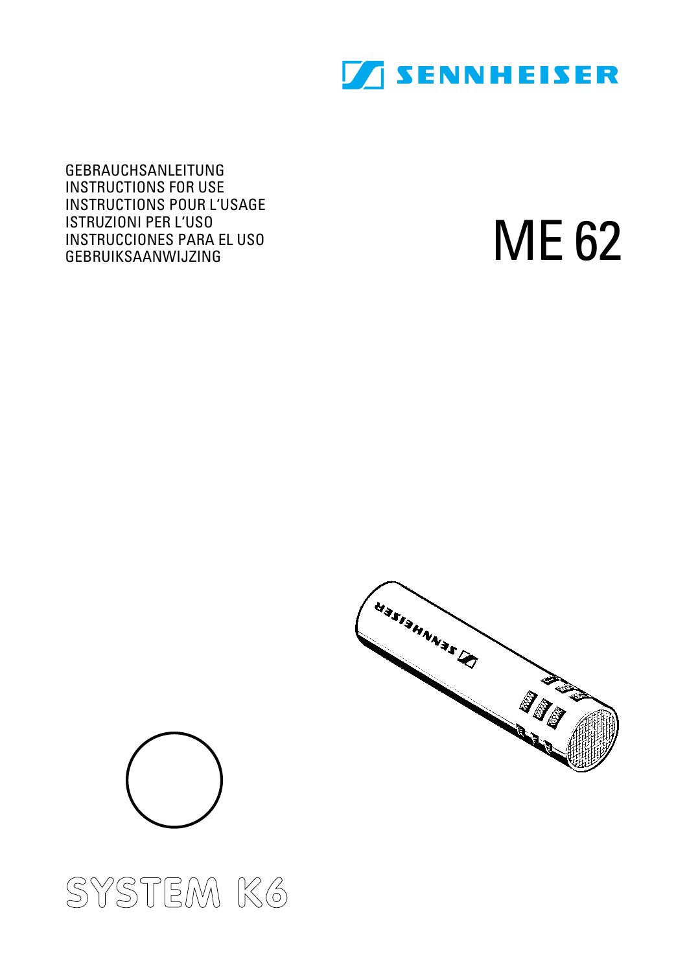

GEBRAUCHSANLEITUNG INSTRUCTIONS FOR USE INSTRUCTIONS POUR L'USAGE ISTRUZIONI PER L'USO INSTRUCCIONES PARA EL USO GEBRUIKSAANWIJZING

ME 62





# **SYSTEM K6**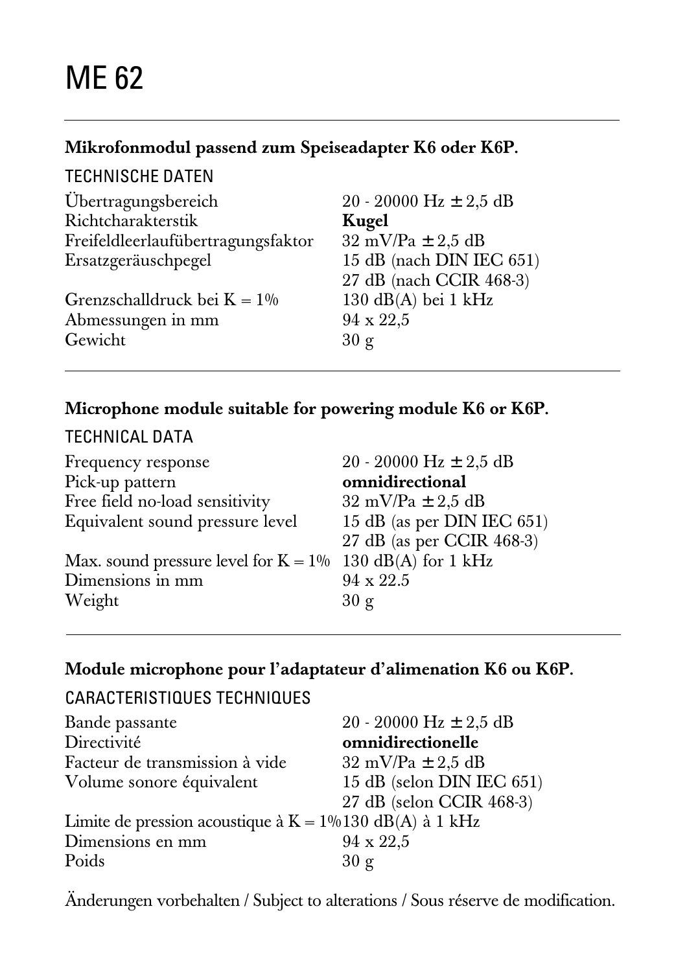#### **Mikrofonmodul passend zum Speiseadapter K6 oder K6P.**

#### TECHNISCHE DATEN

| Übertragungsbereich                | 20 - 20000 Hz $\pm$ 2.5 dB            |
|------------------------------------|---------------------------------------|
| Richtcharakterstik                 | Kugel                                 |
| Freifeldleerlaufübertragungsfaktor | $32 \text{ mV/Pa} \pm 2.5 \text{ dB}$ |
| Ersatzgeräuschpegel                | 15 dB (nach DIN IEC 651)              |
|                                    | 27 dB (nach CCIR 468-3)               |
| Grenzschalldruck bei $K = 1\%$     | $130 \text{ dB}(A)$ bei 1 kHz         |
| Abmessungen in mm                  | 94 x 22,5                             |
| Gewicht                            | 30 g                                  |
|                                    |                                       |

## **Microphone module suitable for powering module K6 or K6P.**

## TECHNICAL DATA

| Frequency response                                          | 20 - 20000 Hz $\pm$ 2.5 dB            |
|-------------------------------------------------------------|---------------------------------------|
| Pick-up pattern                                             | omnidirectional                       |
| Free field no-load sensitivity                              | $32 \text{ mV/Pa} \pm 2.5 \text{ dB}$ |
| Equivalent sound pressure level                             | 15 dB (as per DIN IEC 651)            |
|                                                             | 27 dB (as per CCIR 468-3)             |
| Max. sound pressure level for $K = 1\%$ 130 dB(A) for 1 kHz |                                       |
| Dimensions in mm                                            | 94 x 22.5                             |
| Weight                                                      | 30 g                                  |
|                                                             |                                       |

#### **Module microphone pour l'adaptateur d'alimenation K6 ou K6P.**

# CARACTERISTIQUES TECHNIQUES

| Bande passante                                             | 20 - 20000 Hz $\pm$ 2.5 dB            |
|------------------------------------------------------------|---------------------------------------|
| Directivité                                                | omnidirectionelle                     |
| Facteur de transmission à vide                             | $32 \text{ mV/Pa} \pm 2.5 \text{ dB}$ |
| Volume sonore équivalent                                   | 15 dB (selon DIN IEC 651)             |
|                                                            | 27 dB (selon CCIR 468-3)              |
| Limite de pression acoustique à $K = 1\%130$ dB(A) à 1 kHz |                                       |
| Dimensions en mm                                           | $94 \times 22.5$                      |
| Poids                                                      | 30 g                                  |

Änderungen vorbehalten / Subject to alterations / Sous réserve de modification.